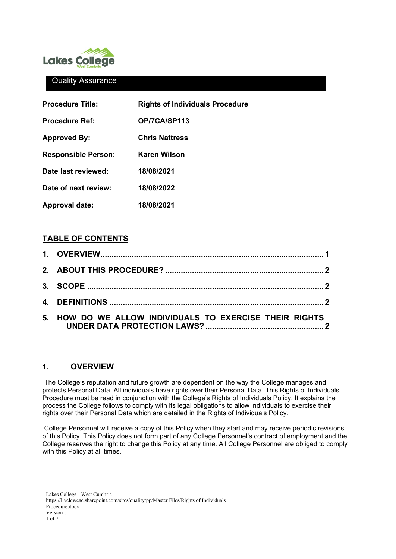

## Quality Assurance

| <b>Procedure Title:</b>    | <b>Rights of Individuals Procedure</b> |
|----------------------------|----------------------------------------|
| <b>Procedure Ref:</b>      | OP/7CA/SP113                           |
| <b>Approved By:</b>        | <b>Chris Nattress</b>                  |
| <b>Responsible Person:</b> | Karen Wilson                           |
| Date last reviewed:        | 18/08/2021                             |
| Date of next review:       | 18/08/2022                             |
| <b>Approval date:</b>      | 18/08/2021                             |

# **TABLE OF CONTENTS**

| 5. HOW DO WE ALLOW INDIVIDUALS TO EXERCISE THEIR RIGHTS |  |
|---------------------------------------------------------|--|

# <span id="page-0-0"></span>**1. OVERVIEW**

The College's reputation and future growth are dependent on the way the College manages and protects Personal Data. All individuals have rights over their Personal Data. This Rights of Individuals Procedure must be read in conjunction with the College's Rights of Individuals Policy. It explains the process the College follows to comply with its legal obligations to allow individuals to exercise their rights over their Personal Data which are detailed in the Rights of Individuals Policy.

College Personnel will receive a copy of this Policy when they start and may receive periodic revisions of this Policy. This Policy does not form part of any College Personnel's contract of employment and the College reserves the right to change this Policy at any time. All College Personnel are obliged to comply with this Policy at all times.

Lakes College - West Cumbria https://livelcwcac.sharepoint.com/sites/quality/pp/Master Files/Rights of Individuals Procedure.docx Version 5 1 of 7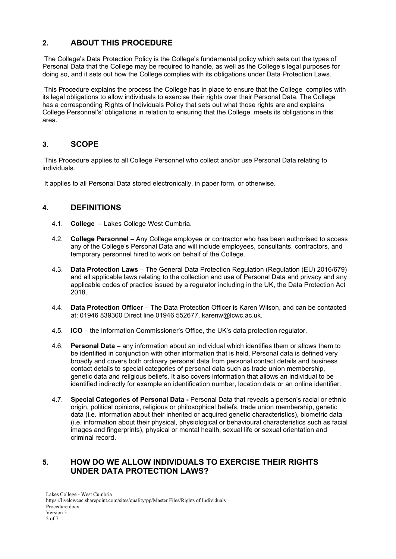# <span id="page-1-0"></span>**2. ABOUT THIS PROCEDURE**

The College's Data Protection Policy is the College's fundamental policy which sets out the types of Personal Data that the College may be required to handle, as well as the College's legal purposes for doing so, and it sets out how the College complies with its obligations under Data Protection Laws.

This Procedure explains the process the College has in place to ensure that the College complies with its legal obligations to allow individuals to exercise their rights over their Personal Data. The College has a corresponding Rights of Individuals Policy that sets out what those rights are and explains College Personnel's' obligations in relation to ensuring that the College meets its obligations in this area.

## <span id="page-1-1"></span>**3. SCOPE**

This Procedure applies to all College Personnel who collect and/or use Personal Data relating to individuals.

<span id="page-1-2"></span>It applies to all Personal Data stored electronically, in paper form, or otherwise.

## **4. DEFINITIONS**

- 4.1. **College**  Lakes College West Cumbria.
- 4.2. **College Personnel** Any College employee or contractor who has been authorised to access any of the College's Personal Data and will include employees, consultants, contractors, and temporary personnel hired to work on behalf of the College.
- 4.3. **Data Protection Laws**  The General Data Protection Regulation (Regulation (EU) 2016/679) and all applicable laws relating to the collection and use of Personal Data and privacy and any applicable codes of practice issued by a regulator including in the UK, the Data Protection Act 2018.
- 4.4. **Data Protection Officer** The Data Protection Officer is Karen Wilson, and can be contacted at: 01946 839300 Direct line 01946 552677, karenw@lcwc.ac.uk.
- 4.5. **ICO** the Information Commissioner's Office, the UK's data protection regulator.
- 4.6. **Personal Data** any information about an individual which identifies them or allows them to be identified in conjunction with other information that is held. Personal data is defined very broadly and covers both ordinary personal data from personal contact details and business contact details to special categories of personal data such as trade union membership, genetic data and religious beliefs. It also covers information that allows an individual to be identified indirectly for example an identification number, location data or an online identifier.
- 4.7. **Special Categories of Personal Data -** Personal Data that reveals a person's racial or ethnic origin, political opinions, religious or philosophical beliefs, trade union membership, genetic data (i.e. information about their inherited or acquired genetic characteristics), biometric data (i.e. information about their physical, physiological or behavioural characteristics such as facial images and fingerprints), physical or mental health, sexual life or sexual orientation and criminal record.

## <span id="page-1-3"></span>**5. HOW DO WE ALLOW INDIVIDUALS TO EXERCISE THEIR RIGHTS UNDER DATA PROTECTION LAWS?**

Lakes College - West Cumbria https://livelcwcac.sharepoint.com/sites/quality/pp/Master Files/Rights of Individuals Procedure.docx Version 5 2 of 7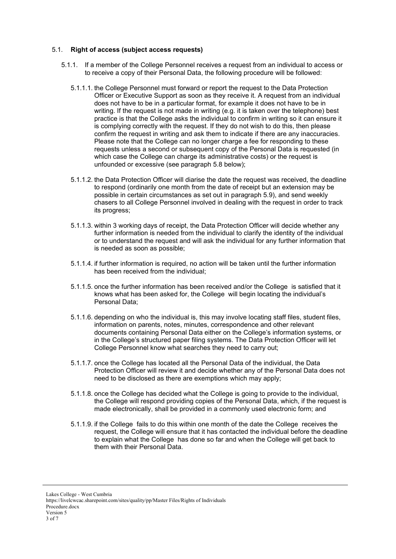#### 5.1. **Right of access (subject access requests)**

- 5.1.1. If a member of the College Personnel receives a request from an individual to access or to receive a copy of their Personal Data, the following procedure will be followed:
	- 5.1.1.1. the College Personnel must forward or report the request to the Data Protection Officer or Executive Support as soon as they receive it. A request from an individual does not have to be in a particular format, for example it does not have to be in writing. If the request is not made in writing (e.g. it is taken over the telephone) best practice is that the College asks the individual to confirm in writing so it can ensure it is complying correctly with the request. If they do not wish to do this, then please confirm the request in writing and ask them to indicate if there are any inaccuracies. Please note that the College can no longer charge a fee for responding to these requests unless a second or subsequent copy of the Personal Data is requested (in which case the College can charge its administrative costs) or the request is unfounded or excessive (see paragraph [5.8](#page-6-0) below);
	- 5.1.1.2. the Data Protection Officer will diarise the date the request was received, the deadline to respond (ordinarily one month from the date of receipt but an extension may be possible in certain circumstances as set out in paragraph [5.9\)](#page-6-1), and send weekly chasers to all College Personnel involved in dealing with the request in order to track its progress;
	- 5.1.1.3. within 3 working days of receipt, the Data Protection Officer will decide whether any further information is needed from the individual to clarify the identity of the individual or to understand the request and will ask the individual for any further information that is needed as soon as possible;
	- 5.1.1.4. if further information is required, no action will be taken until the further information has been received from the individual;
	- 5.1.1.5. once the further information has been received and/or the College is satisfied that it knows what has been asked for, the College will begin locating the individual's Personal Data;
	- 5.1.1.6. depending on who the individual is, this may involve locating staff files, student files, information on parents, notes, minutes, correspondence and other relevant documents containing Personal Data either on the College's information systems, or in the College's structured paper filing systems. The Data Protection Officer will let College Personnel know what searches they need to carry out;
	- 5.1.1.7. once the College has located all the Personal Data of the individual, the Data Protection Officer will review it and decide whether any of the Personal Data does not need to be disclosed as there are exemptions which may apply;
	- 5.1.1.8. once the College has decided what the College is going to provide to the individual, the College will respond providing copies of the Personal Data, which, if the request is made electronically, shall be provided in a commonly used electronic form; and
	- 5.1.1.9. if the College fails to do this within one month of the date the College receives the request, the College will ensure that it has contacted the individual before the deadline to explain what the College has done so far and when the College will get back to them with their Personal Data.

Lakes College - West Cumbria https://livelcwcac.sharepoint.com/sites/quality/pp/Master Files/Rights of Individuals Procedure.docx Version 5 3 of 7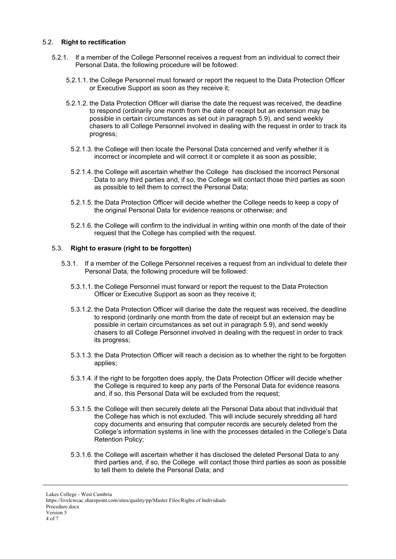### 5.2. **Right to rectification**

- 5.2.1. If a member of the College Personnel receives a request from an individual to correct their Personal Data, the following procedure will be followed:
	- 5.2.1.1. the College Personnel must forward or report the request to the Data Protection Officer or Executive Support as soon as they receive it;
	- 5.2.1.2. the Data Protection Officer will diarise the date the request was received, the deadline to respond (ordinarily one month from the date of receipt but an extension may be possible in certain circumstances as set out in paragraph [5.9\)](#page-6-1), and send weekly chasers to all College Personnel involved in dealing with the request in order to track its progress;
		- 5.2.1.3. the College will then locate the Personal Data concerned and verify whether it is incorrect or incomplete and will correct it or complete it as soon as possible;
		- 5.2.1.4. the College will ascertain whether the College has disclosed the incorrect Personal Data to any third parties and, if so, the College will contact those third parties as soon as possible to tell them to correct the Personal Data;
		- 5.2.1.5. the Data Protection Officer will decide whether the College needs to keep a copy of the original Personal Data for evidence reasons or otherwise; and
		- 5.2.1.6. the College will confirm to the individual in writing within one month of the date of their request that the College has complied with the request.

#### 5.3. **Right to erasure (right to be forgotten)**

- 5.3.1. If a member of the College Personnel receives a request from an individual to delete their Personal Data, the following procedure will be followed:
	- 5.3.1.1. the College Personnel must forward or report the request to the Data Protection Officer or Executive Support as soon as they receive it;
	- 5.3.1.2. the Data Protection Officer will diarise the date the request was received, the deadline to respond (ordinarily one month from the date of receipt but an extension may be possible in certain circumstances as set out in paragraph [5.9\)](#page-6-1), and send weekly chasers to all College Personnel involved in dealing with the request in order to track its progress;
	- 5.3.1.3. the Data Protection Officer will reach a decision as to whether the right to be forgotten applies;
	- 5.3.1.4. if the right to be forgotten does apply, the Data Protection Officer will decide whether the College is required to keep any parts of the Personal Data for evidence reasons and, if so, this Personal Data will be excluded from the request;
	- 5.3.1.5. the College will then securely delete all the Personal Data about that individual that the College has which is not excluded. This will include securely shredding all hard copy documents and ensuring that computer records are securely deleted from the College's information systems in line with the processes detailed in the College's Data Retention Policy;
	- 5.3.1.6. the College will ascertain whether it has disclosed the deleted Personal Data to any third parties and, if so, the College will contact those third parties as soon as possible to tell them to delete the Personal Data; and

Lakes College - West Cumbria

https://livelcwcac.sharepoint.com/sites/quality/pp/Master Files/Rights of Individuals Procedure.docx Version 5

<sup>4</sup> of 7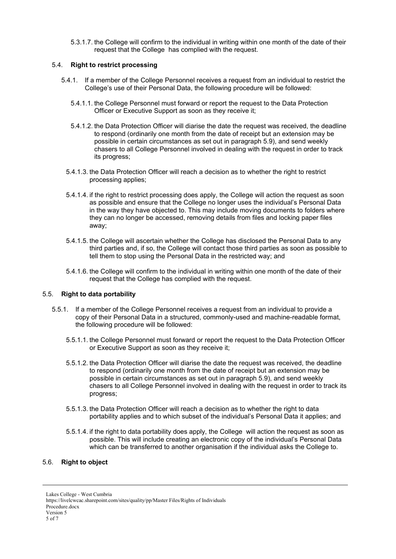5.3.1.7. the College will confirm to the individual in writing within one month of the date of their request that the College has complied with the request.

## 5.4. **Right to restrict processing**

- 5.4.1. If a member of the College Personnel receives a request from an individual to restrict the College's use of their Personal Data, the following procedure will be followed:
	- 5.4.1.1. the College Personnel must forward or report the request to the Data Protection Officer or Executive Support as soon as they receive it;
	- 5.4.1.2. the Data Protection Officer will diarise the date the request was received, the deadline to respond (ordinarily one month from the date of receipt but an extension may be possible in certain circumstances as set out in paragraph [5.9\)](#page-6-1), and send weekly chasers to all College Personnel involved in dealing with the request in order to track its progress;
	- 5.4.1.3. the Data Protection Officer will reach a decision as to whether the right to restrict processing applies;
	- 5.4.1.4. if the right to restrict processing does apply, the College will action the request as soon as possible and ensure that the College no longer uses the individual's Personal Data in the way they have objected to. This may include moving documents to folders where they can no longer be accessed, removing details from files and locking paper files away;
	- 5.4.1.5. the College will ascertain whether the College has disclosed the Personal Data to any third parties and, if so, the College will contact those third parties as soon as possible to tell them to stop using the Personal Data in the restricted way; and
	- 5.4.1.6. the College will confirm to the individual in writing within one month of the date of their request that the College has complied with the request.

## 5.5. **Right to data portability**

- 5.5.1. If a member of the College Personnel receives a request from an individual to provide a copy of their Personal Data in a structured, commonly-used and machine-readable format, the following procedure will be followed:
	- 5.5.1.1. the College Personnel must forward or report the request to the Data Protection Officer or Executive Support as soon as they receive it;
	- 5.5.1.2. the Data Protection Officer will diarise the date the request was received, the deadline to respond (ordinarily one month from the date of receipt but an extension may be possible in certain circumstances as set out in paragraph [5.9\)](#page-6-1), and send weekly chasers to all College Personnel involved in dealing with the request in order to track its progress;
	- 5.5.1.3. the Data Protection Officer will reach a decision as to whether the right to data portability applies and to which subset of the individual's Personal Data it applies; and
	- 5.5.1.4. if the right to data portability does apply, the College will action the request as soon as possible. This will include creating an electronic copy of the individual's Personal Data which can be transferred to another organisation if the individual asks the College to.

### 5.6. **Right to object**

Lakes College - West Cumbria https://livelcwcac.sharepoint.com/sites/quality/pp/Master Files/Rights of Individuals Procedure.docx Version 5 5 of 7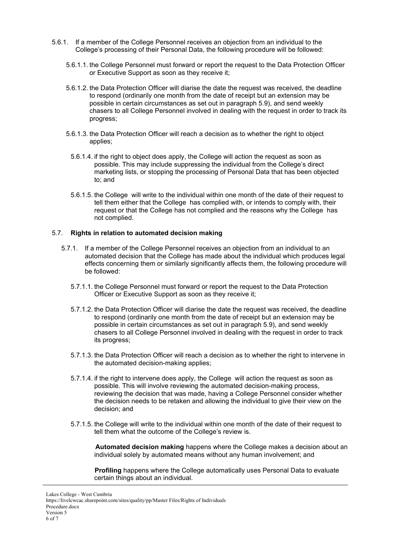- 5.6.1. If a member of the College Personnel receives an objection from an individual to the College's processing of their Personal Data, the following procedure will be followed:
	- 5.6.1.1. the College Personnel must forward or report the request to the Data Protection Officer or Executive Support as soon as they receive it;
	- 5.6.1.2. the Data Protection Officer will diarise the date the request was received, the deadline to respond (ordinarily one month from the date of receipt but an extension may be possible in certain circumstances as set out in paragraph [5.9\)](#page-6-1), and send weekly chasers to all College Personnel involved in dealing with the request in order to track its progress;
	- 5.6.1.3. the Data Protection Officer will reach a decision as to whether the right to object applies;
		- 5.6.1.4. if the right to object does apply, the College will action the request as soon as possible. This may include suppressing the individual from the College's direct marketing lists, or stopping the processing of Personal Data that has been objected to; and
		- 5.6.1.5. the College will write to the individual within one month of the date of their request to tell them either that the College has complied with, or intends to comply with, their request or that the College has not complied and the reasons why the College has not complied.

#### 5.7. **Rights in relation to automated decision making**

- 5.7.1. If a member of the College Personnel receives an objection from an individual to an automated decision that the College has made about the individual which produces legal effects concerning them or similarly significantly affects them, the following procedure will be followed:
	- 5.7.1.1. the College Personnel must forward or report the request to the Data Protection Officer or Executive Support as soon as they receive it;
	- 5.7.1.2. the Data Protection Officer will diarise the date the request was received, the deadline to respond (ordinarily one month from the date of receipt but an extension may be possible in certain circumstances as set out in paragraph [5.9\)](#page-6-1), and send weekly chasers to all College Personnel involved in dealing with the request in order to track its progress;
	- 5.7.1.3. the Data Protection Officer will reach a decision as to whether the right to intervene in the automated decision-making applies;
	- 5.7.1.4. if the right to intervene does apply, the College will action the request as soon as possible. This will involve reviewing the automated decision-making process, reviewing the decision that was made, having a College Personnel consider whether the decision needs to be retaken and allowing the individual to give their view on the decision; and
	- 5.7.1.5. the College will write to the individual within one month of the date of their request to tell them what the outcome of the College's review is.

**Automated decision making** happens where the College makes a decision about an individual solely by automated means without any human involvement; and

**Profiling** happens where the College automatically uses Personal Data to evaluate certain things about an individual.

https://livelcwcac.sharepoint.com/sites/quality/pp/Master Files/Rights of Individuals Procedure.docx Version 5 6 of 7

Lakes College - West Cumbria